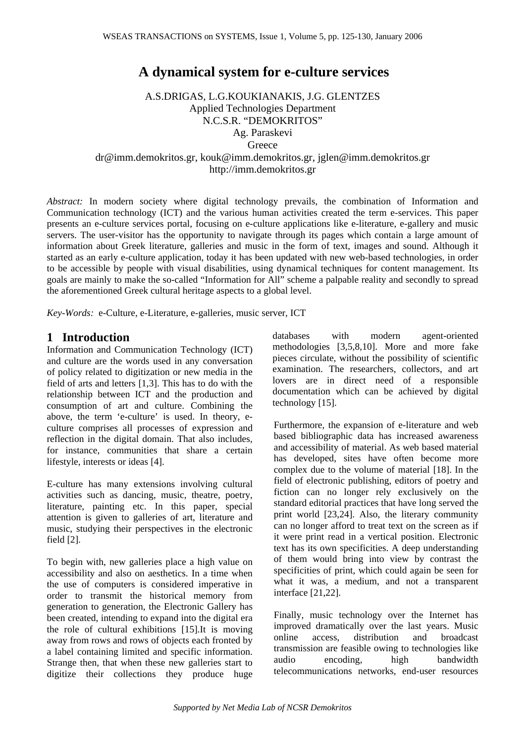# **A dynamical system for e-culture services**

A.S.DRIGAS, L.G.KOUKIANAKIS, J.G. GLENTZES Applied Technologies Department N.C.S.R. "DEMOKRITOS" Ag. Paraskevi **Greece** dr@imm.demokritos.gr, kouk@imm.demokritos.gr, jglen@imm.demokritos.gr

http://imm.demokritos.gr

*Abstract:* In modern society where digital technology prevails, the combination of Information and Communication technology (ICT) and the various human activities created the term e-services. This paper presents an e-culture services portal, focusing on e-culture applications like e-literature, e-gallery and music servers. The user-visitor has the opportunity to navigate through its pages which contain a large amount of information about Greek literature, galleries and music in the form of text, images and sound. Although it started as an early e-culture application, today it has been updated with new web-based technologies, in order to be accessible by people with visual disabilities, using dynamical techniques for content management. Its goals are mainly to make the so-called "Information for All" scheme a palpable reality and secondly to spread the aforementioned Greek cultural heritage aspects to a global level.

*Key-Words:* e-Culture, e-Literature, e-galleries, music server, ICT

#### **1 Introduction**

Information and Communication Technology (ICT) and culture are the words used in any conversation of policy related to digitization or new media in the field of arts and letters [1,3]. This has to do with the relationship between ICT and the production and consumption of art and culture. Combining the above, the term 'e-culture' is used. In theory, eculture comprises all processes of expression and reflection in the digital domain. That also includes, for instance, communities that share a certain lifestyle, interests or ideas [4].

E-culture has many extensions involving cultural activities such as dancing, music, theatre, poetry, literature, painting etc. In this paper, special attention is given to galleries of art, literature and music, studying their perspectives in the electronic field [2].

To begin with, new galleries place a high value on accessibility and also on aesthetics. In a time when the use of computers is considered imperative in order to transmit the historical memory from generation to generation, the Electronic Gallery has been created, intending to expand into the digital era the role of cultural exhibitions [15].It is moving away from rows and rows of objects each fronted by a label containing limited and specific information. Strange then, that when these new galleries start to digitize their collections they produce huge

databases with modern agent-oriented methodologies [3,5,8,10]. More and more fake pieces circulate, without the possibility of scientific examination. The researchers, collectors, and art lovers are in direct need of a responsible documentation which can be achieved by digital technology [15].

Furthermore, the expansion of e-literature and web based bibliographic data has increased awareness and accessibility of material. As web based material has developed, sites have often become more complex due to the volume of material [18]. In the field of electronic publishing, editors of poetry and fiction can no longer rely exclusively on the standard editorial practices that have long served the print world [23,24]. Also, the literary community can no longer afford to treat text on the screen as if it were print read in a vertical position. Electronic text has its own specificities. A deep understanding of them would bring into view by contrast the specificities of print, which could again be seen for what it was, a medium, and not a transparent interface [21,22].

Finally, music technology over the Internet has improved dramatically over the last years. Music online access, distribution and broadcast transmission are feasible owing to technologies like audio encoding, high bandwidth telecommunications networks, end-user resources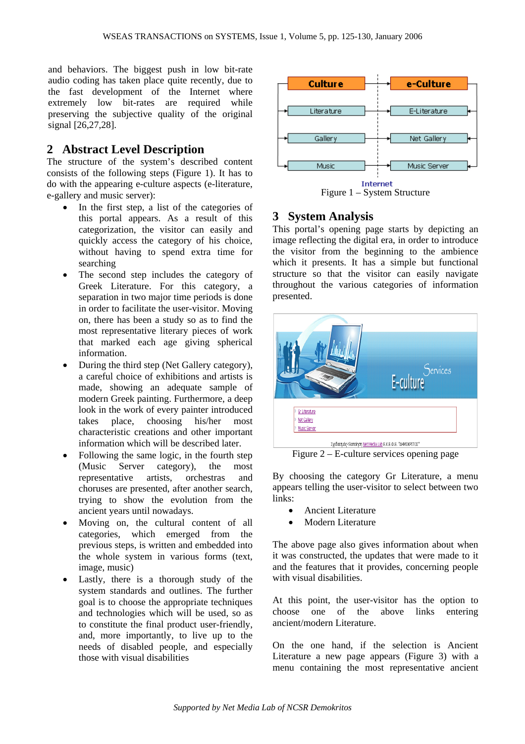and behaviors. The biggest push in low bit-rate audio coding has taken place quite recently, due to the fast development of the Internet where extremely low bit-rates are required while preserving the subjective quality of the original signal [26,27,28].

### **2 Abstract Level Description**

The structure of the system's described content consists of the following steps (Figure 1). It has to do with the appearing e-culture aspects (e-literature, e-gallery and music server):

- In the first step, a list of the categories of this portal appears. As a result of this categorization, the visitor can easily and quickly access the category of his choice, without having to spend extra time for searching
- The second step includes the category of Greek Literature. For this category, a separation in two major time periods is done in order to facilitate the user-visitor. Moving on, there has been a study so as to find the most representative literary pieces of work that marked each age giving spherical information.
- During the third step (Net Gallery category), a careful choice of exhibitions and artists is made, showing an adequate sample of modern Greek painting. Furthermore, a deep look in the work of every painter introduced takes place, choosing his/her most characteristic creations and other important information which will be described later.
- Following the same logic, in the fourth step (Music Server category), the most representative artists, orchestras and choruses are presented, after another search, trying to show the evolution from the ancient years until nowadays.
- Moving on, the cultural content of all categories, which emerged from the previous steps, is written and embedded into the whole system in various forms (text, image, music)
- Lastly, there is a thorough study of the system standards and outlines. The further goal is to choose the appropriate techniques and technologies which will be used, so as to constitute the final product user-friendly, and, more importantly, to live up to the needs of disabled people, and especially those with visual disabilities



## **3 System Analysis**

This portal's opening page starts by depicting an image reflecting the digital era, in order to introduce the visitor from the beginning to the ambience which it presents. It has a simple but functional structure so that the visitor can easily navigate throughout the various categories of information presented.



Figure 2 – E-culture services opening page

By choosing the category Gr Literature, a menu appears telling the user-visitor to select between two links:

- Ancient Literature
- Modern Literature

The above page also gives information about when it was constructed, the updates that were made to it and the features that it provides, concerning people with visual disabilities.

At this point, the user-visitor has the option to choose one of the above links entering ancient/modern Literature.

On the one hand, if the selection is Ancient Literature a new page appears (Figure 3) with a menu containing the most representative ancient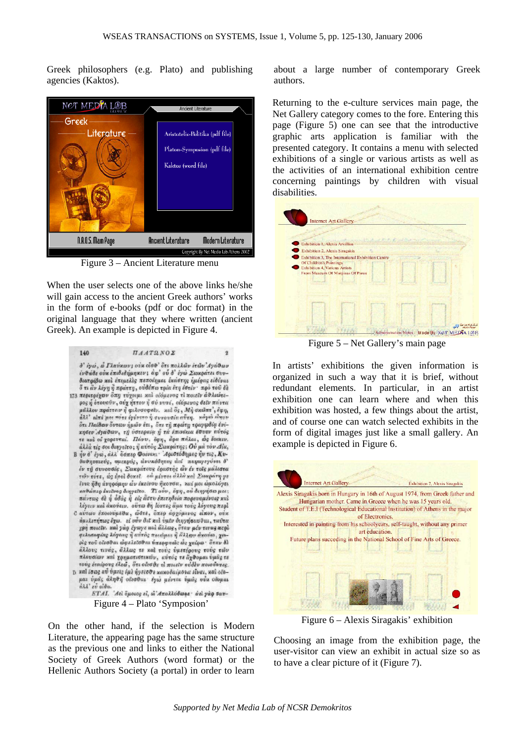Greek philosophers (e.g. Plato) and publishing agencies (Kaktos).



Figure 3 – Ancient Literature menu

When the user selects one of the above links he/she will gain access to the ancient Greek authors' works in the form of e-books (pdf or doc format) in the original language that they where written (ancient Greek). An example is depicted in Figure 4.



On the other hand, if the selection is Modern Literature, the appearing page has the same structure as the previous one and links to either the National Society of Greek Authors (word format) or the Hellenic Authors Society (a portal) in order to learn about a large number of contemporary Greek authors.

Returning to the e-culture services main page, the Net Gallery category comes to the fore. Entering this page (Figure 5) one can see that the introductive graphic arts application is familiar with the presented category. It contains a menu with selected exhibitions of a single or various artists as well as the activities of an international exhibition centre concerning paintings by children with visual disabilities.

| <b>Internet Art Gallery</b>                                                                                                                                     |
|-----------------------------------------------------------------------------------------------------------------------------------------------------------------|
|                                                                                                                                                                 |
| 上下一点之前<br><b>Exhibition 1, Alexis Arvillias</b>                                                                                                                 |
| <b>Exhibition 2, Alexis Siragakis</b>                                                                                                                           |
| Exhibition 3, The International Exhibition Centre<br><b>Of Children's Paintings</b><br><b>Exhibition 4. Various Artists</b><br>From Museum Of Marpissa Of Paros |
|                                                                                                                                                                 |
| Made By NeT MER<br><b>Administration Notes</b>                                                                                                                  |

Figure 5 – Net Gallery's main page

In artists' exhibitions the given information is organized in such a way that it is brief, without redundant elements. In particular, in an artist exhibition one can learn where and when this exhibition was hosted, a few things about the artist, and of course one can watch selected exhibits in the form of digital images just like a small gallery. An example is depicted in Figure 6.



Figure 6 – Alexis Siragakis' exhibition

Choosing an image from the exhibition page, the user-visitor can view an exhibit in actual size so as to have a clear picture of it (Figure 7).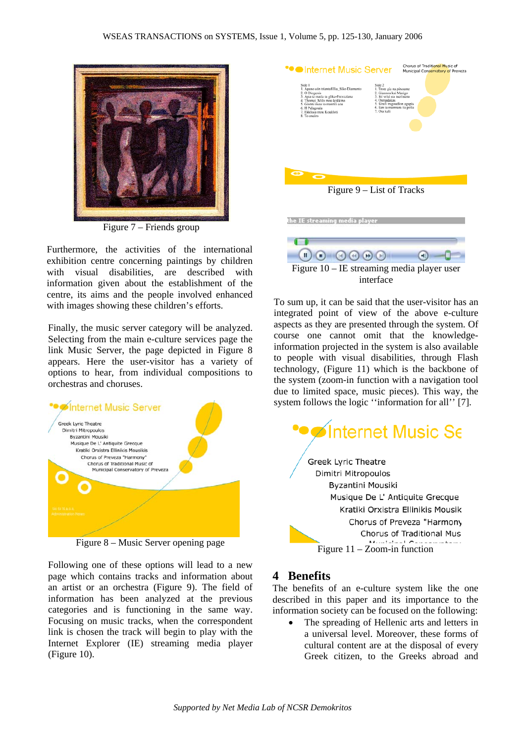

Figure 7 – Friends group

Furthermore, the activities of the international exhibition centre concerning paintings by children with visual disabilities, are described with information given about the establishment of the centre, its aims and the people involved enhanced with images showing these children's efforts.

Finally, the music server category will be analyzed. Selecting from the main e-culture services page the link Music Server, the page depicted in Figure 8 appears. Here the user-visitor has a variety of options to hear, from individual compositions to orchestras and choruses.



Figure 8 – Music Server opening page

Following one of these options will lead to a new page which contains tracks and information about an artist or an orchestra (Figure 9). The field of information has been analyzed at the previous categories and is functioning in the same way. Focusing on music tracks, when the correspondent link is chosen the track will begin to play with the Internet Explorer (IE) streaming media player (Figure 10).



 $\sqrt{1}$ Figure 10 – IE streaming media player user interface

To sum up, it can be said that the user-visitor has an integrated point of view of the above e-culture aspects as they are presented through the system. Of course one cannot omit that the knowledgeinformation projected in the system is also available to people with visual disabilities, through Flash technology, (Figure 11) which is the backbone of the system (zoom-in function with a navigation tool due to limited space, music pieces). This way, the system follows the logic ''information for all'' [7].



**Greek Lyric Theatre** Dimitri Mitropoulos Byzantini Mousiki Musique De L' Antiquite Grecque Kratiki Orxistra Ellinikis Mousik Chorus of Preveza "Harmony Chorus of Traditional Mus  $1.4.1111 - 1.7111$ Figure 11 – Zoom-in function

#### **4 Benefits**

The benefits of an e-culture system like the one described in this paper and its importance to the information society can be focused on the following:

The spreading of Hellenic arts and letters in a universal level. Moreover, these forms of cultural content are at the disposal of every Greek citizen, to the Greeks abroad and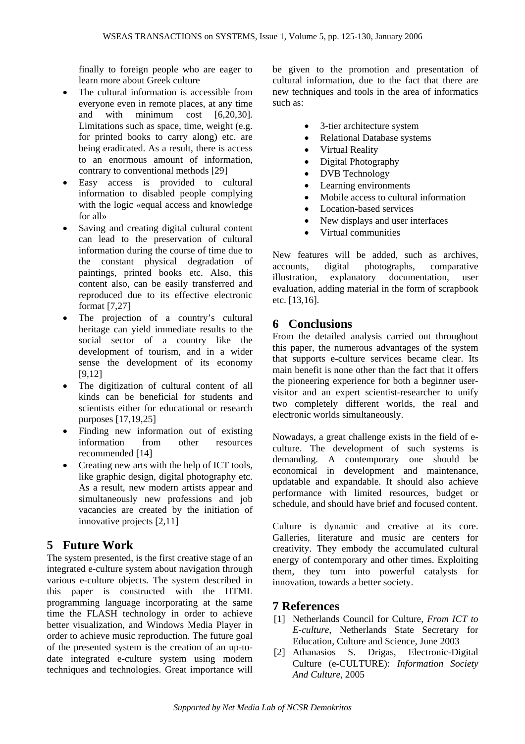finally to foreign people who are eager to learn more about Greek culture

- The cultural information is accessible from everyone even in remote places, at any time and with minimum cost [6,20,30]. Limitations such as space, time, weight (e.g. for printed books to carry along) etc. are being eradicated. As a result, there is access to an enormous amount of information, contrary to conventional methods [29]
- Easy access is provided to cultural information to disabled people complying with the logic «equal access and knowledge for all»
- Saving and creating digital cultural content can lead to the preservation of cultural information during the course of time due to the constant physical degradation of paintings, printed books etc. Also, this content also, can be easily transferred and reproduced due to its effective electronic format [7,27]
- The projection of a country's cultural heritage can yield immediate results to the social sector of a country like the development of tourism, and in a wider sense the development of its economy [9,12]
- The digitization of cultural content of all kinds can be beneficial for students and scientists either for educational or research purposes [17,19,25]
- Finding new information out of existing information from other resources recommended [14]
- Creating new arts with the help of ICT tools, like graphic design, digital photography etc. As a result, new modern artists appear and simultaneously new professions and job vacancies are created by the initiation of innovative projects [2,11]

## **5 Future Work**

The system presented, is the first creative stage of an integrated e-culture system about navigation through various e-culture objects. The system described in this paper is constructed with the HTML programming language incorporating at the same time the FLASH technology in order to achieve better visualization, and Windows Media Player in order to achieve music reproduction. The future goal of the presented system is the creation of an up-todate integrated e-culture system using modern techniques and technologies. Great importance will

be given to the promotion and presentation of cultural information, due to the fact that there are new techniques and tools in the area of informatics such as:

- 3-tier architecture system
- Relational Database systems
- Virtual Reality
- Digital Photography
- DVB Technology
- Learning environments
- Mobile access to cultural information
- Location-based services
- New displays and user interfaces
- Virtual communities

New features will be added, such as archives, accounts, digital photographs, comparative illustration, explanatory documentation, user evaluation, adding material in the form of scrapbook etc. [13,16].

## **6 Conclusions**

From the detailed analysis carried out throughout this paper, the numerous advantages of the system that supports e-culture services became clear. Its main benefit is none other than the fact that it offers the pioneering experience for both a beginner uservisitor and an expert scientist-researcher to unify two completely different worlds, the real and electronic worlds simultaneously.

Nowadays, a great challenge exists in the field of eculture. The development of such systems is demanding. A contemporary one should be economical in development and maintenance, updatable and expandable. It should also achieve performance with limited resources, budget or schedule, and should have brief and focused content.

Culture is dynamic and creative at its core. Galleries, literature and music are centers for creativity. They embody the accumulated cultural energy of contemporary and other times. Exploiting them, they turn into powerful catalysts for innovation, towards a better society.

#### **7 References**

- [1] Netherlands Council for Culture, *From ICT to E-culture*, Netherlands State Secretary for Education, Culture and Science, June 2003
- [2] Athanasios S. Drigas, Electronic-Digital Culture (e-CULTURE): *Information Society And Culture*, 2005